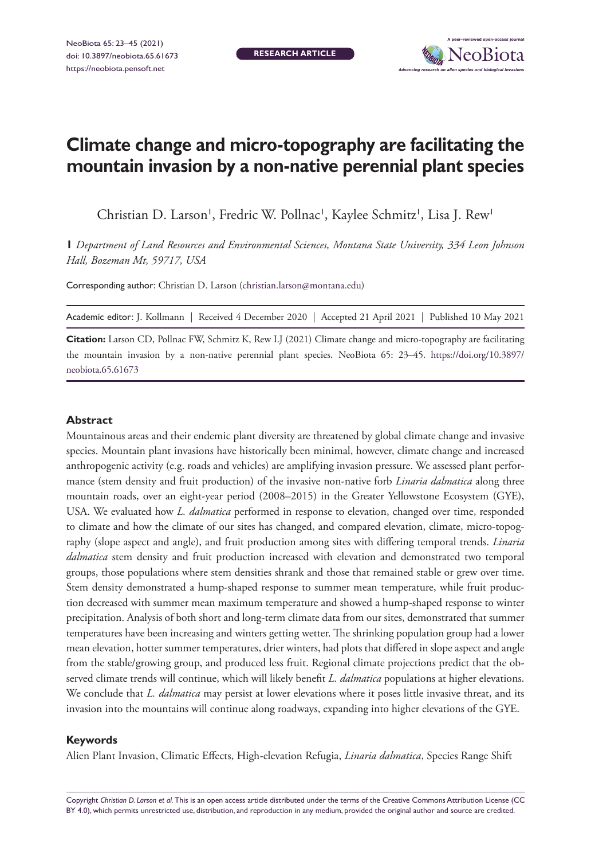**RESEARCH ARTICLE**



# **Climate change and micro-topography are facilitating the mountain invasion by a non-native perennial plant species**

Christian D. Larson', Fredric W. Pollnac', Kaylee Schmitz', Lisa J. Rew<sup>1</sup>

**1** *Department of Land Resources and Environmental Sciences, Montana State University, 334 Leon Johnson Hall, Bozeman Mt, 59717, USA*

Corresponding author: Christian D. Larson [\(christian.larson@montana.edu](mailto:christian.larson@montana.edu))

Academic editor: J. Kollmann | Received 4 December 2020 | Accepted 21 April 2021 | Published 10 May 2021

**Citation:** Larson CD, Pollnac FW, Schmitz K, Rew LJ (2021) Climate change and micro-topography are facilitating the mountain invasion by a non-native perennial plant species. NeoBiota 65: 23–45. [https://doi.org/10.3897/](https://doi.org/10.3897/neobiota.65.61673) [neobiota.65.61673](https://doi.org/10.3897/neobiota.65.61673)

#### **Abstract**

Mountainous areas and their endemic plant diversity are threatened by global climate change and invasive species. Mountain plant invasions have historically been minimal, however, climate change and increased anthropogenic activity (e.g. roads and vehicles) are amplifying invasion pressure. We assessed plant performance (stem density and fruit production) of the invasive non-native forb *Linaria dalmatica* along three mountain roads, over an eight-year period (2008–2015) in the Greater Yellowstone Ecosystem (GYE), USA. We evaluated how *L. dalmatica* performed in response to elevation, changed over time, responded to climate and how the climate of our sites has changed, and compared elevation, climate, micro-topography (slope aspect and angle), and fruit production among sites with differing temporal trends. *Linaria dalmatica* stem density and fruit production increased with elevation and demonstrated two temporal groups, those populations where stem densities shrank and those that remained stable or grew over time. Stem density demonstrated a hump-shaped response to summer mean temperature, while fruit production decreased with summer mean maximum temperature and showed a hump-shaped response to winter precipitation. Analysis of both short and long-term climate data from our sites, demonstrated that summer temperatures have been increasing and winters getting wetter. The shrinking population group had a lower mean elevation, hotter summer temperatures, drier winters, had plots that differed in slope aspect and angle from the stable/growing group, and produced less fruit. Regional climate projections predict that the observed climate trends will continue, which will likely benefit *L. dalmatica* populations at higher elevations. We conclude that *L. dalmatica* may persist at lower elevations where it poses little invasive threat, and its invasion into the mountains will continue along roadways, expanding into higher elevations of the GYE.

#### **Keywords**

Alien Plant Invasion, Climatic Effects, High-elevation Refugia, *Linaria dalmatica*, Species Range Shift

Copyright *Christian D. Larson et al.* This is an open access article distributed under the terms of the [Creative Commons Attribution License \(CC](http://creativecommons.org/licenses/by/4.0/)  [BY 4.0\)](http://creativecommons.org/licenses/by/4.0/), which permits unrestricted use, distribution, and reproduction in any medium, provided the original author and source are credited.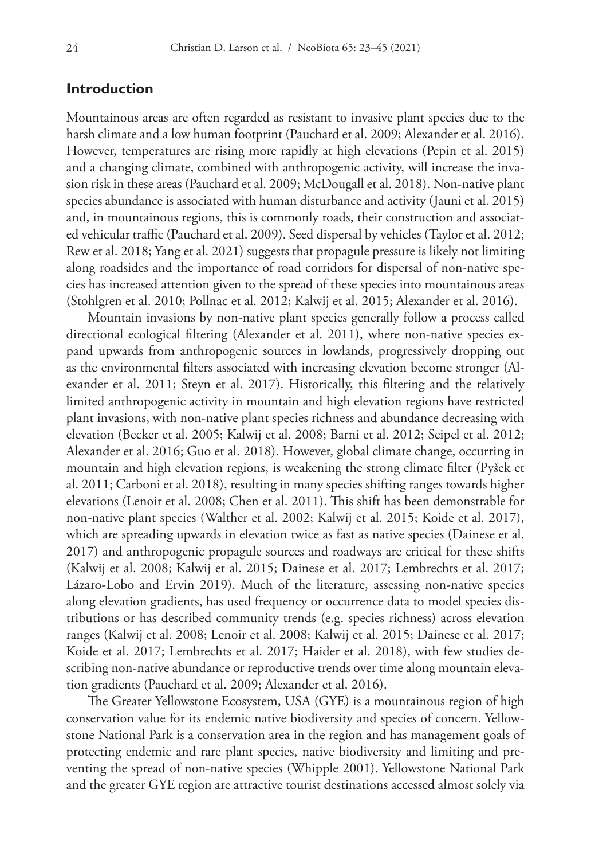# **Introduction**

Mountainous areas are often regarded as resistant to invasive plant species due to the harsh climate and a low human footprint (Pauchard et al. 2009; Alexander et al. 2016). However, temperatures are rising more rapidly at high elevations (Pepin et al. 2015) and a changing climate, combined with anthropogenic activity, will increase the invasion risk in these areas (Pauchard et al. 2009; McDougall et al. 2018). Non-native plant species abundance is associated with human disturbance and activity (Jauni et al. 2015) and, in mountainous regions, this is commonly roads, their construction and associated vehicular traffic (Pauchard et al. 2009). Seed dispersal by vehicles (Taylor et al. 2012; Rew et al. 2018; Yang et al. 2021) suggests that propagule pressure is likely not limiting along roadsides and the importance of road corridors for dispersal of non-native species has increased attention given to the spread of these species into mountainous areas (Stohlgren et al. 2010; Pollnac et al. 2012; Kalwij et al. 2015; Alexander et al. 2016).

Mountain invasions by non-native plant species generally follow a process called directional ecological filtering (Alexander et al. 2011), where non-native species expand upwards from anthropogenic sources in lowlands, progressively dropping out as the environmental filters associated with increasing elevation become stronger (Alexander et al. 2011; Steyn et al. 2017). Historically, this filtering and the relatively limited anthropogenic activity in mountain and high elevation regions have restricted plant invasions, with non-native plant species richness and abundance decreasing with elevation (Becker et al. 2005; Kalwij et al. 2008; Barni et al. 2012; Seipel et al. 2012; Alexander et al. 2016; Guo et al. 2018). However, global climate change, occurring in mountain and high elevation regions, is weakening the strong climate filter (Pyšek et al. 2011; Carboni et al. 2018), resulting in many species shifting ranges towards higher elevations (Lenoir et al. 2008; Chen et al. 2011). This shift has been demonstrable for non-native plant species (Walther et al. 2002; Kalwij et al. 2015; Koide et al. 2017), which are spreading upwards in elevation twice as fast as native species (Dainese et al. 2017) and anthropogenic propagule sources and roadways are critical for these shifts (Kalwij et al. 2008; Kalwij et al. 2015; Dainese et al. 2017; Lembrechts et al. 2017; Lázaro-Lobo and Ervin 2019). Much of the literature, assessing non-native species along elevation gradients, has used frequency or occurrence data to model species distributions or has described community trends (e.g. species richness) across elevation ranges (Kalwij et al. 2008; Lenoir et al. 2008; Kalwij et al. 2015; Dainese et al. 2017; Koide et al. 2017; Lembrechts et al. 2017; Haider et al. 2018), with few studies describing non-native abundance or reproductive trends over time along mountain elevation gradients (Pauchard et al. 2009; Alexander et al. 2016).

The Greater Yellowstone Ecosystem, USA (GYE) is a mountainous region of high conservation value for its endemic native biodiversity and species of concern. Yellowstone National Park is a conservation area in the region and has management goals of protecting endemic and rare plant species, native biodiversity and limiting and preventing the spread of non-native species (Whipple 2001). Yellowstone National Park and the greater GYE region are attractive tourist destinations accessed almost solely via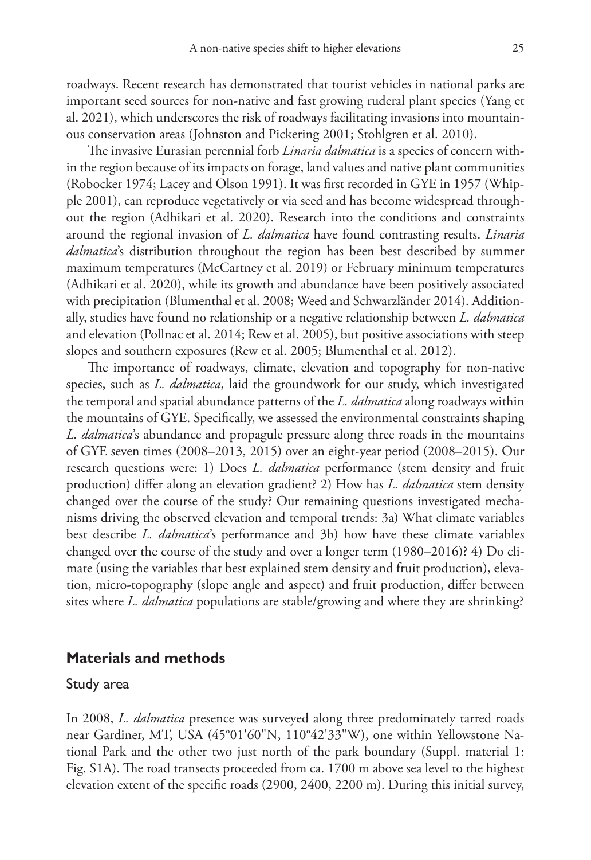roadways. Recent research has demonstrated that tourist vehicles in national parks are important seed sources for non-native and fast growing ruderal plant species (Yang et al. 2021), which underscores the risk of roadways facilitating invasions into mountainous conservation areas (Johnston and Pickering 2001; Stohlgren et al. 2010).

The invasive Eurasian perennial forb *Linaria dalmatica* is a species of concern within the region because of its impacts on forage, land values and native plant communities (Robocker 1974; Lacey and Olson 1991). It was first recorded in GYE in 1957 (Whipple 2001), can reproduce vegetatively or via seed and has become widespread throughout the region (Adhikari et al. 2020). Research into the conditions and constraints around the regional invasion of *L. dalmatica* have found contrasting results. *Linaria dalmatica*'s distribution throughout the region has been best described by summer maximum temperatures (McCartney et al. 2019) or February minimum temperatures (Adhikari et al. 2020), while its growth and abundance have been positively associated with precipitation (Blumenthal et al. 2008; Weed and Schwarzländer 2014). Additionally, studies have found no relationship or a negative relationship between *L. dalmatica* and elevation (Pollnac et al. 2014; Rew et al. 2005), but positive associations with steep slopes and southern exposures (Rew et al. 2005; Blumenthal et al. 2012).

The importance of roadways, climate, elevation and topography for non-native species, such as *L. dalmatica*, laid the groundwork for our study, which investigated the temporal and spatial abundance patterns of the *L. dalmatica* along roadways within the mountains of GYE. Specifically, we assessed the environmental constraints shaping *L. dalmatica*'s abundance and propagule pressure along three roads in the mountains of GYE seven times (2008–2013, 2015) over an eight-year period (2008–2015). Our research questions were: 1) Does *L. dalmatica* performance (stem density and fruit production) differ along an elevation gradient? 2) How has *L. dalmatica* stem density changed over the course of the study? Our remaining questions investigated mechanisms driving the observed elevation and temporal trends: 3a) What climate variables best describe *L. dalmatica*'s performance and 3b) how have these climate variables changed over the course of the study and over a longer term (1980–2016)? 4) Do climate (using the variables that best explained stem density and fruit production), elevation, micro-topography (slope angle and aspect) and fruit production, differ between sites where *L. dalmatica* populations are stable/growing and where they are shrinking?

# **Materials and methods**

### Study area

In 2008, *L. dalmatica* presence was surveyed along three predominately tarred roads near Gardiner, MT, USA (45°01'60"N, 110°42'33"W), one within Yellowstone National Park and the other two just north of the park boundary (Suppl. material 1: Fig. S1A). The road transects proceeded from ca. 1700 m above sea level to the highest elevation extent of the specific roads (2900, 2400, 2200 m). During this initial survey,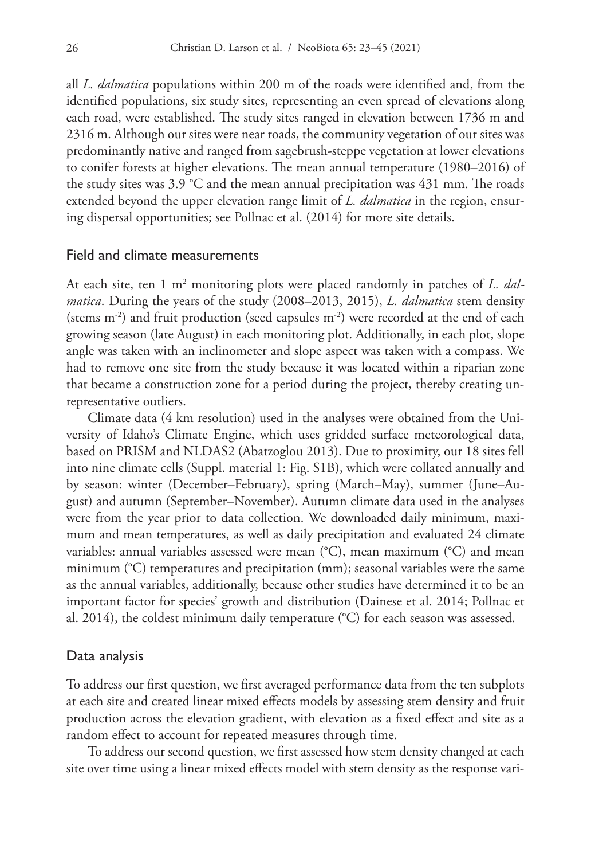all *L. dalmatica* populations within 200 m of the roads were identified and, from the identified populations, six study sites, representing an even spread of elevations along each road, were established. The study sites ranged in elevation between 1736 m and 2316 m. Although our sites were near roads, the community vegetation of our sites was predominantly native and ranged from sagebrush-steppe vegetation at lower elevations to conifer forests at higher elevations. The mean annual temperature (1980–2016) of the study sites was 3.9 °C and the mean annual precipitation was 431 mm. The roads extended beyond the upper elevation range limit of *L. dalmatica* in the region, ensuring dispersal opportunities; see Pollnac et al. (2014) for more site details.

### Field and climate measurements

At each site, ten 1 m2 monitoring plots were placed randomly in patches of *L. dalmatica*. During the years of the study (2008–2013, 2015), *L. dalmatica* stem density (stems m-2) and fruit production (seed capsules m-2) were recorded at the end of each growing season (late August) in each monitoring plot. Additionally, in each plot, slope angle was taken with an inclinometer and slope aspect was taken with a compass. We had to remove one site from the study because it was located within a riparian zone that became a construction zone for a period during the project, thereby creating unrepresentative outliers.

Climate data (4 km resolution) used in the analyses were obtained from the University of Idaho's Climate Engine, which uses gridded surface meteorological data, based on PRISM and NLDAS2 (Abatzoglou 2013). Due to proximity, our 18 sites fell into nine climate cells (Suppl. material 1: Fig. S1B), which were collated annually and by season: winter (December–February), spring (March–May), summer (June–August) and autumn (September–November). Autumn climate data used in the analyses were from the year prior to data collection. We downloaded daily minimum, maximum and mean temperatures, as well as daily precipitation and evaluated 24 climate variables: annual variables assessed were mean (°C), mean maximum (°C) and mean minimum (°C) temperatures and precipitation (mm); seasonal variables were the same as the annual variables, additionally, because other studies have determined it to be an important factor for species' growth and distribution (Dainese et al. 2014; Pollnac et al. 2014), the coldest minimum daily temperature (°C) for each season was assessed.

### Data analysis

To address our first question, we first averaged performance data from the ten subplots at each site and created linear mixed effects models by assessing stem density and fruit production across the elevation gradient, with elevation as a fixed effect and site as a random effect to account for repeated measures through time.

To address our second question, we first assessed how stem density changed at each site over time using a linear mixed effects model with stem density as the response vari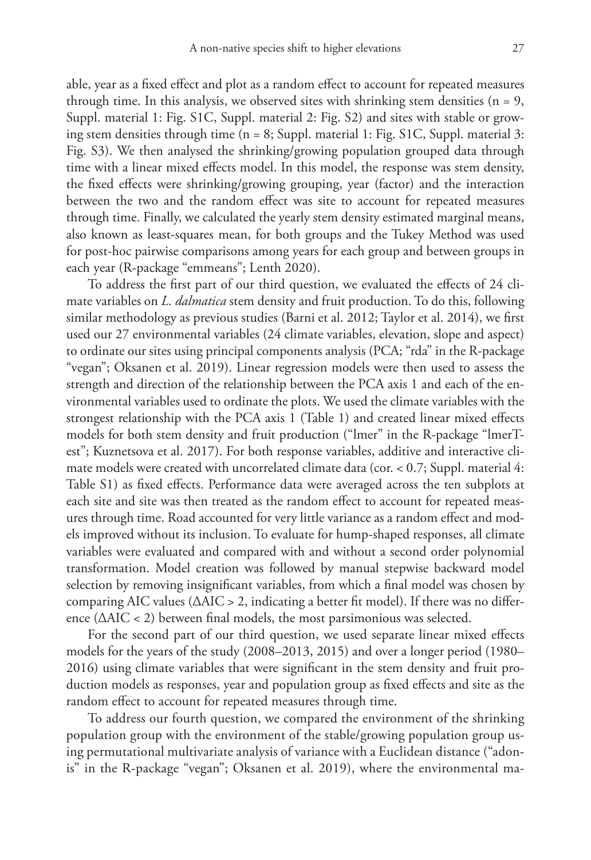able, year as a fixed effect and plot as a random effect to account for repeated measures through time. In this analysis, we observed sites with shrinking stem densities ( $n = 9$ , Suppl. material 1: Fig. S1C, Suppl. material 2: Fig. S2) and sites with stable or growing stem densities through time (n = 8; Suppl. material 1: Fig. S1C, Suppl. material 3: Fig. S3). We then analysed the shrinking/growing population grouped data through time with a linear mixed effects model. In this model, the response was stem density, the fixed effects were shrinking/growing grouping, year (factor) and the interaction between the two and the random effect was site to account for repeated measures through time. Finally, we calculated the yearly stem density estimated marginal means, also known as least-squares mean, for both groups and the Tukey Method was used for post-hoc pairwise comparisons among years for each group and between groups in each year (R-package "emmeans"; Lenth 2020).

To address the first part of our third question, we evaluated the effects of 24 climate variables on *L. dalmatica* stem density and fruit production. To do this, following similar methodology as previous studies (Barni et al. 2012; Taylor et al. 2014), we first used our 27 environmental variables (24 climate variables, elevation, slope and aspect) to ordinate our sites using principal components analysis (PCA; "rda" in the R-package "vegan"; Oksanen et al. 2019). Linear regression models were then used to assess the strength and direction of the relationship between the PCA axis 1 and each of the environmental variables used to ordinate the plots. We used the climate variables with the strongest relationship with the PCA axis 1 (Table 1) and created linear mixed effects models for both stem density and fruit production ("lmer" in the R-package "lmerTest"; Kuznetsova et al. 2017). For both response variables, additive and interactive climate models were created with uncorrelated climate data (cor. < 0.7; Suppl. material 4: Table S1) as fixed effects. Performance data were averaged across the ten subplots at each site and site was then treated as the random effect to account for repeated measures through time. Road accounted for very little variance as a random effect and models improved without its inclusion. To evaluate for hump-shaped responses, all climate variables were evaluated and compared with and without a second order polynomial transformation. Model creation was followed by manual stepwise backward model selection by removing insignificant variables, from which a final model was chosen by comparing AIC values ( $\triangle AIC > 2$ , indicating a better fit model). If there was no difference (ΔAIC < 2) between final models, the most parsimonious was selected.

For the second part of our third question, we used separate linear mixed effects models for the years of the study (2008–2013, 2015) and over a longer period (1980– 2016) using climate variables that were significant in the stem density and fruit production models as responses, year and population group as fixed effects and site as the random effect to account for repeated measures through time.

To address our fourth question, we compared the environment of the shrinking population group with the environment of the stable/growing population group using permutational multivariate analysis of variance with a Euclidean distance ("adonis" in the R-package "vegan"; Oksanen et al. 2019), where the environmental ma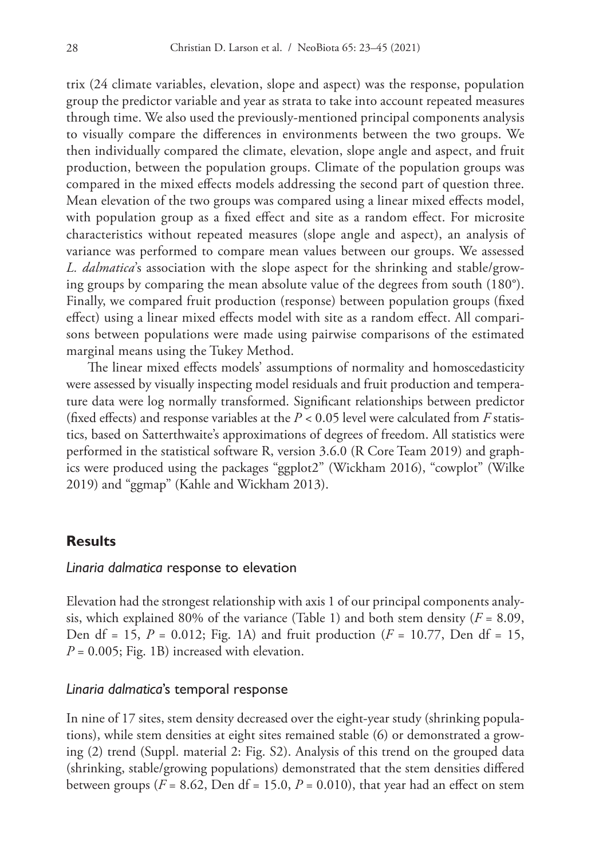trix (24 climate variables, elevation, slope and aspect) was the response, population group the predictor variable and year as strata to take into account repeated measures through time. We also used the previously-mentioned principal components analysis to visually compare the differences in environments between the two groups. We then individually compared the climate, elevation, slope angle and aspect, and fruit production, between the population groups. Climate of the population groups was compared in the mixed effects models addressing the second part of question three. Mean elevation of the two groups was compared using a linear mixed effects model, with population group as a fixed effect and site as a random effect. For microsite characteristics without repeated measures (slope angle and aspect), an analysis of variance was performed to compare mean values between our groups. We assessed *L. dalmatica*'s association with the slope aspect for the shrinking and stable/growing groups by comparing the mean absolute value of the degrees from south (180°). Finally, we compared fruit production (response) between population groups (fixed effect) using a linear mixed effects model with site as a random effect. All comparisons between populations were made using pairwise comparisons of the estimated marginal means using the Tukey Method.

The linear mixed effects models' assumptions of normality and homoscedasticity were assessed by visually inspecting model residuals and fruit production and temperature data were log normally transformed. Significant relationships between predictor (fixed effects) and response variables at the *P <* 0.05 level were calculated from *F* statistics, based on Satterthwaite's approximations of degrees of freedom. All statistics were performed in the statistical software R, version 3.6.0 (R Core Team 2019) and graphics were produced using the packages "ggplot2" (Wickham 2016), "cowplot" (Wilke 2019) and "ggmap" (Kahle and Wickham 2013).

# **Results**

### *Linaria dalmatica* response to elevation

Elevation had the strongest relationship with axis 1 of our principal components analysis, which explained 80% of the variance (Table 1) and both stem density  $(F = 8.09,$ Den df = 15, *P* = 0.012; Fig. 1A) and fruit production (*F* = 10.77, Den df = 15,  $P = 0.005$ ; Fig. 1B) increased with elevation.

### *Linaria dalmatica*'s temporal response

In nine of 17 sites, stem density decreased over the eight-year study (shrinking populations), while stem densities at eight sites remained stable (6) or demonstrated a growing (2) trend (Suppl. material 2: Fig. S2). Analysis of this trend on the grouped data (shrinking, stable/growing populations) demonstrated that the stem densities differed between groups ( $F = 8.62$ , Den df = 15.0,  $P = 0.010$ ), that year had an effect on stem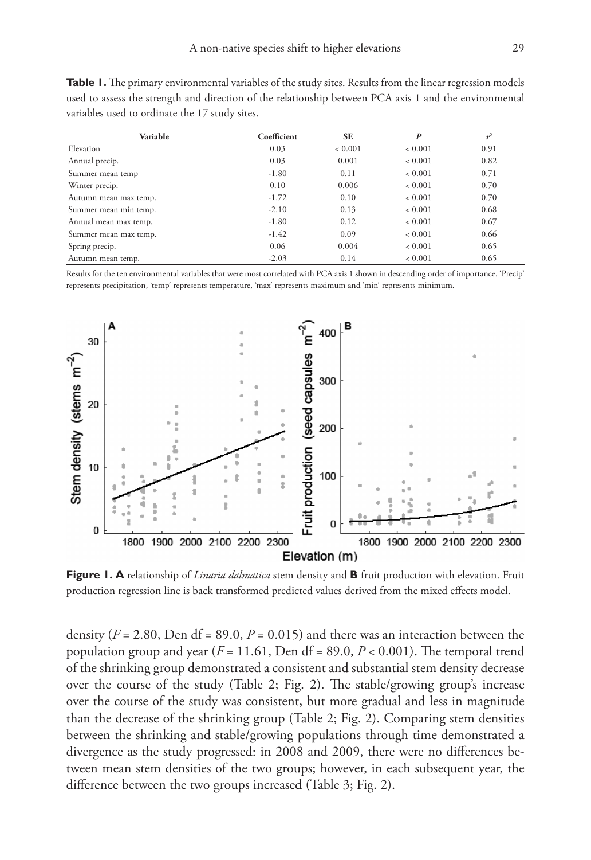**Table 1.** The primary environmental variables of the study sites. Results from the linear regression models used to assess the strength and direction of the relationship between PCA axis 1 and the environmental variables used to ordinate the 17 study sites.

| Variable              | Coefficient | <b>SE</b>   | $\boldsymbol{P}$ |      |
|-----------------------|-------------|-------------|------------------|------|
| Elevation             | 0.03        | ${}< 0.001$ | ${}< 0.001$      | 0.91 |
| Annual precip.        | 0.03        | 0.001       | ${}< 0.001$      | 0.82 |
| Summer mean temp      | $-1.80$     | 0.11        | ${}< 0.001$      | 0.71 |
| Winter precip.        | 0.10        | 0.006       | ${}< 0.001$      | 0.70 |
| Autumn mean max temp. | $-1.72$     | 0.10        | ${}< 0.001$      | 0.70 |
| Summer mean min temp. | $-2.10$     | 0.13        | ${}< 0.001$      | 0.68 |
| Annual mean max temp. | $-1.80$     | 0.12        | ${}< 0.001$      | 0.67 |
| Summer mean max temp. | $-1.42$     | 0.09        | ${}< 0.001$      | 0.66 |
| Spring precip.        | 0.06        | 0.004       | ${}< 0.001$      | 0.65 |
| Autumn mean temp.     | $-2.03$     | 0.14        | ${}< 0.001$      | 0.65 |

Results for the ten environmental variables that were most correlated with PCA axis 1 shown in descending order of importance. 'Precip' represents precipitation, 'temp' represents temperature, 'max' represents maximum and 'min' represents minimum.



**Figure 1. A** relationship of *Linaria dalmatica* stem density and **B** fruit production with elevation. Fruit production regression line is back transformed predicted values derived from the mixed effects model.

density ( $F = 2.80$ , Den df = 89.0,  $P = 0.015$ ) and there was an interaction between the population group and year ( $F = 11.61$ , Den df = 89.0,  $P < 0.001$ ). The temporal trend of the shrinking group demonstrated a consistent and substantial stem density decrease over the course of the study (Table 2; Fig. 2). The stable/growing group's increase over the course of the study was consistent, but more gradual and less in magnitude than the decrease of the shrinking group (Table 2; Fig. 2). Comparing stem densities between the shrinking and stable/growing populations through time demonstrated a divergence as the study progressed: in 2008 and 2009, there were no differences between mean stem densities of the two groups; however, in each subsequent year, the difference between the two groups increased (Table 3; Fig. 2).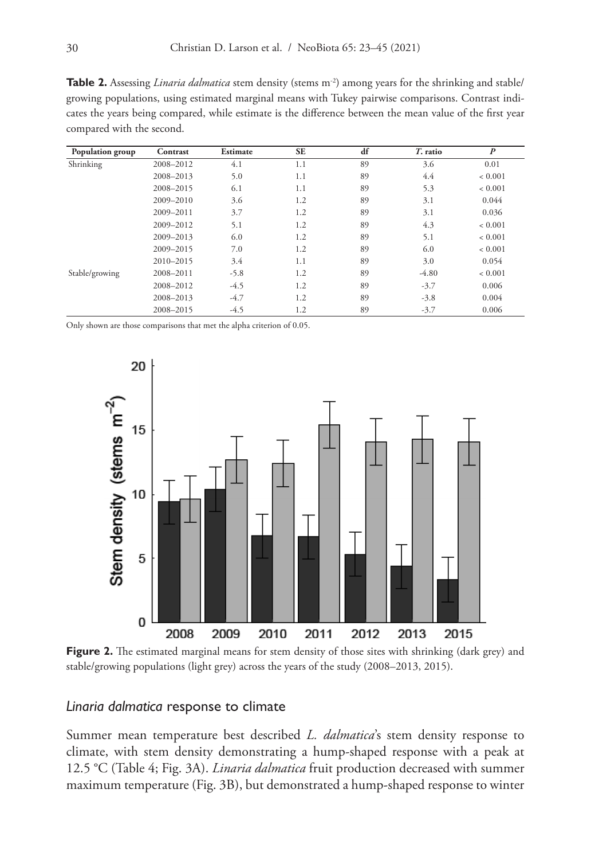**Table 2.** Assessing *Linaria dalmatica* stem density (stems m<sup>-2</sup>) among years for the shrinking and stable/ growing populations, using estimated marginal means with Tukey pairwise comparisons. Contrast indicates the years being compared, while estimate is the difference between the mean value of the first year compared with the second.

| Population group | Contrast  | Estimate | <b>SE</b> | df | T. ratio | $\boldsymbol{P}$ |
|------------------|-----------|----------|-----------|----|----------|------------------|
| Shrinking        | 2008-2012 | 4.1      | 1.1       | 89 | 3.6      | 0.01             |
|                  | 2008-2013 | 5.0      | 1.1       | 89 | 4.4      | ${}< 0.001$      |
|                  | 2008-2015 | 6.1      | 1.1       | 89 | 5.3      | ${}< 0.001$      |
|                  | 2009-2010 | 3.6      | 1.2       | 89 | 3.1      | 0.044            |
|                  | 2009-2011 | 3.7      | 1.2       | 89 | 3.1      | 0.036            |
|                  | 2009-2012 | 5.1      | 1.2       | 89 | 4.3      | ${}< 0.001$      |
|                  | 2009-2013 | 6.0      | 1.2       | 89 | 5.1      | ${}< 0.001$      |
|                  | 2009-2015 | 7.0      | 1.2       | 89 | 6.0      | ${}< 0.001$      |
|                  | 2010-2015 | 3.4      | 1.1       | 89 | 3.0      | 0.054            |
| Stable/growing   | 2008-2011 | $-5.8$   | 1.2       | 89 | $-4.80$  | ${}< 0.001$      |
|                  | 2008-2012 | $-4.5$   | 1.2       | 89 | $-3.7$   | 0.006            |
|                  | 2008-2013 | $-4.7$   | 1.2       | 89 | $-3.8$   | 0.004            |
|                  | 2008-2015 | $-4.5$   | 1.2       | 89 | $-3.7$   | 0.006            |

Only shown are those comparisons that met the alpha criterion of 0.05.



**Figure 2.** The estimated marginal means for stem density of those sites with shrinking (dark grey) and stable/growing populations (light grey) across the years of the study (2008–2013, 2015).

# *Linaria dalmatica* response to climate

Summer mean temperature best described *L. dalmatica*'s stem density response to climate, with stem density demonstrating a hump-shaped response with a peak at 12.5 °C (Table 4; Fig. 3A). *Linaria dalmatica* fruit production decreased with summer maximum temperature (Fig. 3B), but demonstrated a hump-shaped response to winter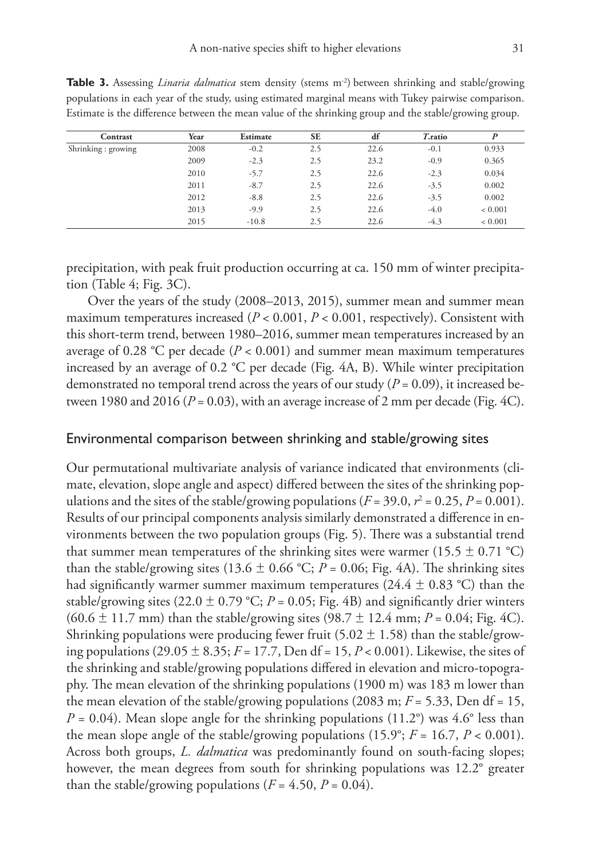| Contrast           | Year | Estimate | <b>SE</b> | df   | T.ratio |         |
|--------------------|------|----------|-----------|------|---------|---------|
| Shrinking: growing | 2008 | $-0.2$   | 2.5       | 22.6 | $-0.1$  | 0.933   |
|                    | 2009 | $-2.3$   | 2.5       | 23.2 | $-0.9$  | 0.365   |
|                    | 2010 | $-5.7$   | 2.5       | 22.6 | $-2.3$  | 0.034   |
|                    | 2011 | $-8.7$   | 2.5       | 22.6 | $-3.5$  | 0.002   |
|                    | 2012 | $-8.8$   | 2.5       | 22.6 | $-3.5$  | 0.002   |
|                    | 2013 | $-9.9$   | 2.5       | 22.6 | $-4.0$  | < 0.001 |
|                    | 2015 | $-10.8$  | 2.5       | 22.6 | $-4.3$  | < 0.001 |

**Table 3.** Assessing *Linaria dalmatica* stem density (stems m<sup>-2</sup>) between shrinking and stable/growing populations in each year of the study, using estimated marginal means with Tukey pairwise comparison. Estimate is the difference between the mean value of the shrinking group and the stable/growing group.

precipitation, with peak fruit production occurring at ca. 150 mm of winter precipitation (Table 4; Fig. 3C).

Over the years of the study (2008–2013, 2015), summer mean and summer mean maximum temperatures increased (*P* < 0.001, *P* < 0.001, respectively). Consistent with this short-term trend, between 1980–2016, summer mean temperatures increased by an average of 0.28 °C per decade (*P* < 0.001) and summer mean maximum temperatures increased by an average of 0.2 °C per decade (Fig. 4A, B). While winter precipitation demonstrated no temporal trend across the years of our study ( $P = 0.09$ ), it increased between 1980 and 2016 ( $P = 0.03$ ), with an average increase of 2 mm per decade (Fig. 4C).

#### Environmental comparison between shrinking and stable/growing sites

Our permutational multivariate analysis of variance indicated that environments (climate, elevation, slope angle and aspect) differed between the sites of the shrinking populations and the sites of the stable/growing populations  $(F = 39.0, r^2 = 0.25, P = 0.001)$ . Results of our principal components analysis similarly demonstrated a difference in environments between the two population groups (Fig. 5). There was a substantial trend that summer mean temperatures of the shrinking sites were warmer (15.5  $\pm$  0.71 °C) than the stable/growing sites (13.6  $\pm$  0.66 °C; *P* = 0.06; Fig. 4A). The shrinking sites had significantly warmer summer maximum temperatures (24.4  $\pm$  0.83 °C) than the stable/growing sites  $(22.0 \pm 0.79 \degree C; P = 0.05; Fig. 4B)$  and significantly drier winters  $(60.6 \pm 11.7 \text{ mm})$  than the stable/growing sites  $(98.7 \pm 12.4 \text{ mm}; P = 0.04; Fig. 4C)$ . Shrinking populations were producing fewer fruit (5.02  $\pm$  1.58) than the stable/growing populations  $(29.05 \pm 8.35; F = 17.7)$ , Den df = 15, P < 0.001). Likewise, the sites of the shrinking and stable/growing populations differed in elevation and micro-topography. The mean elevation of the shrinking populations (1900 m) was 183 m lower than the mean elevation of the stable/growing populations (2083 m;  $F = 5.33$ , Den df = 15,  $P = 0.04$ ). Mean slope angle for the shrinking populations (11.2°) was 4.6° less than the mean slope angle of the stable/growing populations  $(15.9^\circ; F = 16.7, P < 0.001)$ . Across both groups, *L. dalmatica* was predominantly found on south-facing slopes; however, the mean degrees from south for shrinking populations was 12.2° greater than the stable/growing populations  $(F = 4.50, P = 0.04)$ .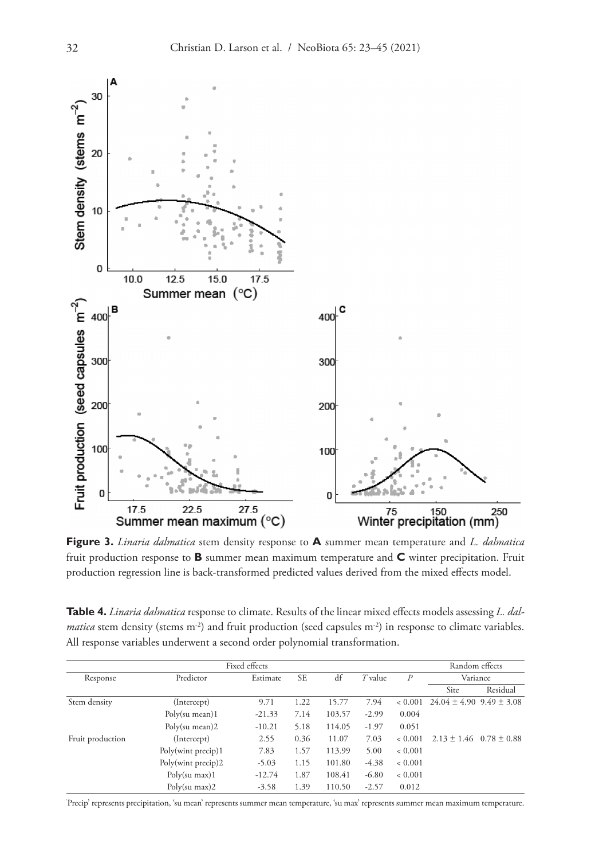

**Figure 3.** *Linaria dalmatica* stem density response to **A** summer mean temperature and *L. dalmatica*  fruit production response to **B** summer mean maximum temperature and **C** winter precipitation. Fruit production regression line is back-transformed predicted values derived from the mixed effects model.

**Table 4.** *Linaria dalmatica* response to climate. Results of the linear mixed effects models assessing *L. dalmatica* stem density (stems m<sup>-2</sup>) and fruit production (seed capsules m<sup>-2</sup>) in response to climate variables. All response variables underwent a second order polynomial transformation.

| Fixed effects    |                    |          |           |                 | Random effects |                  |                                  |          |
|------------------|--------------------|----------|-----------|-----------------|----------------|------------------|----------------------------------|----------|
| Response         | Predictor          | Estimate | <b>SE</b> | df<br>$T$ value |                | $\boldsymbol{P}$ | Variance                         |          |
|                  |                    |          |           |                 |                |                  | Site                             | Residual |
| Stem density     | (Intercept)        | 9.71     | 1.22      | 15.77           | 7.94           | ${}_{<} 0.001$   | $24.04 \pm 4.90$ 9.49 $\pm$ 3.08 |          |
|                  | Poly(su mean)1     | $-21.33$ | 7.14      | 103.57          | $-2.99$        | 0.004            |                                  |          |
|                  | Poly(su mean)2     | $-10.21$ | 5.18      | 114.05          | $-1.97$        | 0.051            |                                  |          |
| Fruit production | (Intercept)        | 2.55     | 0.36      | 11.07           | 7.03           | ${}< 0.001$      | $2.13 \pm 1.46$ 0.78 $\pm$ 0.88  |          |
|                  | Poly(wint precip)1 | 7.83     | 1.57      | 113.99          | 5.00           | ${}< 0.001$      |                                  |          |
|                  | Poly(wint precip)2 | $-5.03$  | 1.15      | 101.80          | $-4.38$        | ${}< 0.001$      |                                  |          |
|                  | Poly(su max)1      | $-12.74$ | 1.87      | 108.41          | $-6.80$        | ${}< 0.001$      |                                  |          |
|                  | $Poly(su \, max)2$ | $-3.58$  | 1.39      | 110.50          | $-2.57$        | 0.012            |                                  |          |

' Precip' represents precipitation, 'su mean' represents summer mean temperature, 'su max' represents summer mean maximum temperature.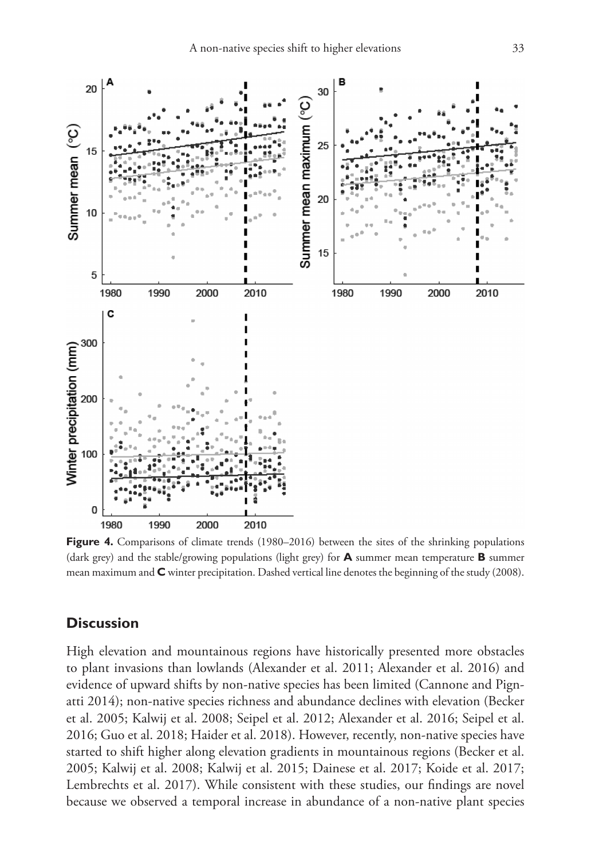

**Figure 4.** Comparisons of climate trends (1980–2016) between the sites of the shrinking populations (dark grey) and the stable/growing populations (light grey) for **A** summer mean temperature **B** summer mean maximum and **C** winter precipitation. Dashed vertical line denotes the beginning of the study (2008).

# **Discussion**

High elevation and mountainous regions have historically presented more obstacles to plant invasions than lowlands (Alexander et al. 2011; Alexander et al. 2016) and evidence of upward shifts by non-native species has been limited (Cannone and Pignatti 2014); non-native species richness and abundance declines with elevation (Becker et al. 2005; Kalwij et al. 2008; Seipel et al. 2012; Alexander et al. 2016; Seipel et al. 2016; Guo et al. 2018; Haider et al. 2018). However, recently, non-native species have started to shift higher along elevation gradients in mountainous regions (Becker et al. 2005; Kalwij et al. 2008; Kalwij et al. 2015; Dainese et al. 2017; Koide et al. 2017; Lembrechts et al. 2017). While consistent with these studies, our findings are novel because we observed a temporal increase in abundance of a non-native plant species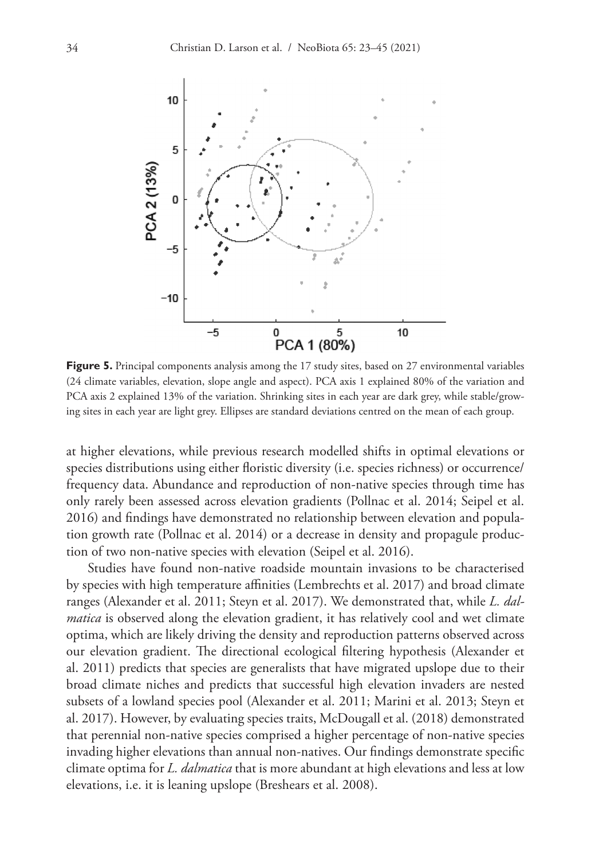

**Figure 5.** Principal components analysis among the 17 study sites, based on 27 environmental variables (24 climate variables, elevation, slope angle and aspect). PCA axis 1 explained 80% of the variation and PCA axis 2 explained 13% of the variation. Shrinking sites in each year are dark grey, while stable/growing sites in each year are light grey. Ellipses are standard deviations centred on the mean of each group.

at higher elevations, while previous research modelled shifts in optimal elevations or species distributions using either floristic diversity (i.e. species richness) or occurrence/ frequency data. Abundance and reproduction of non-native species through time has only rarely been assessed across elevation gradients (Pollnac et al. 2014; Seipel et al. 2016) and findings have demonstrated no relationship between elevation and population growth rate (Pollnac et al. 2014) or a decrease in density and propagule production of two non-native species with elevation (Seipel et al. 2016).

Studies have found non-native roadside mountain invasions to be characterised by species with high temperature affinities (Lembrechts et al. 2017) and broad climate ranges (Alexander et al. 2011; Steyn et al. 2017). We demonstrated that, while *L. dalmatica* is observed along the elevation gradient, it has relatively cool and wet climate optima, which are likely driving the density and reproduction patterns observed across our elevation gradient. The directional ecological filtering hypothesis (Alexander et al. 2011) predicts that species are generalists that have migrated upslope due to their broad climate niches and predicts that successful high elevation invaders are nested subsets of a lowland species pool (Alexander et al. 2011; Marini et al. 2013; Steyn et al. 2017). However, by evaluating species traits, McDougall et al. (2018) demonstrated that perennial non-native species comprised a higher percentage of non-native species invading higher elevations than annual non-natives. Our findings demonstrate specific climate optima for *L. dalmatica* that is more abundant at high elevations and less at low elevations, i.e. it is leaning upslope (Breshears et al. 2008).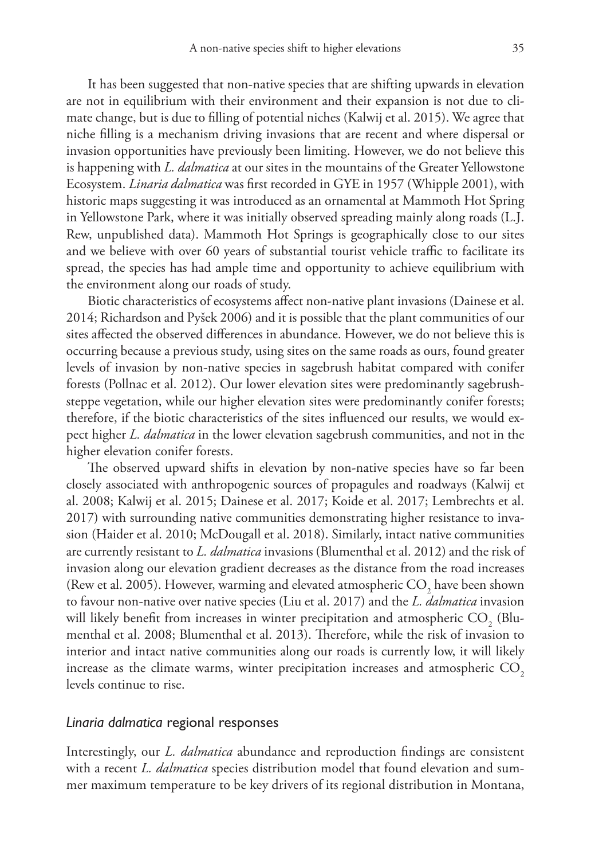It has been suggested that non-native species that are shifting upwards in elevation are not in equilibrium with their environment and their expansion is not due to climate change, but is due to filling of potential niches (Kalwij et al. 2015). We agree that niche filling is a mechanism driving invasions that are recent and where dispersal or invasion opportunities have previously been limiting. However, we do not believe this is happening with *L. dalmatica* at our sites in the mountains of the Greater Yellowstone Ecosystem. *Linaria dalmatica* was first recorded in GYE in 1957 (Whipple 2001), with historic maps suggesting it was introduced as an ornamental at Mammoth Hot Spring in Yellowstone Park, where it was initially observed spreading mainly along roads (L.J. Rew, unpublished data). Mammoth Hot Springs is geographically close to our sites and we believe with over 60 years of substantial tourist vehicle traffic to facilitate its spread, the species has had ample time and opportunity to achieve equilibrium with the environment along our roads of study.

Biotic characteristics of ecosystems affect non-native plant invasions (Dainese et al. 2014; Richardson and Pyšek 2006) and it is possible that the plant communities of our sites affected the observed differences in abundance. However, we do not believe this is occurring because a previous study, using sites on the same roads as ours, found greater levels of invasion by non-native species in sagebrush habitat compared with conifer forests (Pollnac et al. 2012). Our lower elevation sites were predominantly sagebrushsteppe vegetation, while our higher elevation sites were predominantly conifer forests; therefore, if the biotic characteristics of the sites influenced our results, we would expect higher *L. dalmatica* in the lower elevation sagebrush communities, and not in the higher elevation conifer forests.

The observed upward shifts in elevation by non-native species have so far been closely associated with anthropogenic sources of propagules and roadways (Kalwij et al. 2008; Kalwij et al. 2015; Dainese et al. 2017; Koide et al. 2017; Lembrechts et al. 2017) with surrounding native communities demonstrating higher resistance to invasion (Haider et al. 2010; McDougall et al. 2018). Similarly, intact native communities are currently resistant to *L. dalmatica* invasions (Blumenthal et al. 2012) and the risk of invasion along our elevation gradient decreases as the distance from the road increases (Rew et al. 2005). However, warming and elevated atmospheric  $\mathrm{CO}_2$  have been shown to favour non-native over native species (Liu et al. 2017) and the *L. dalmatica* invasion will likely benefit from increases in winter precipitation and atmospheric  $\mathrm{CO}_\mathrm{2}{}$  (Blumenthal et al. 2008; Blumenthal et al. 2013). Therefore, while the risk of invasion to interior and intact native communities along our roads is currently low, it will likely increase as the climate warms, winter precipitation increases and atmospheric  $CO<sub>2</sub>$ levels continue to rise.

#### *Linaria dalmatica* regional responses

Interestingly, our *L. dalmatica* abundance and reproduction findings are consistent with a recent *L. dalmatica* species distribution model that found elevation and summer maximum temperature to be key drivers of its regional distribution in Montana,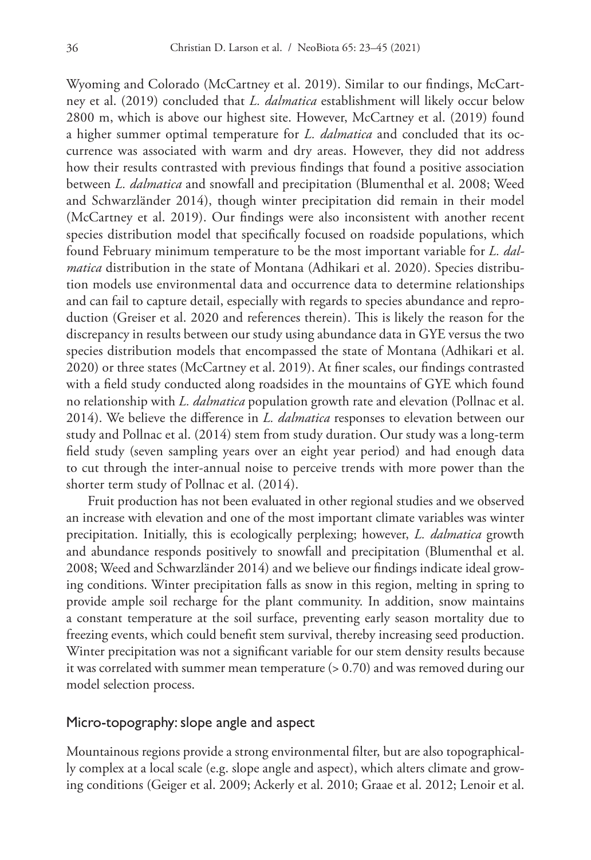Wyoming and Colorado (McCartney et al. 2019). Similar to our findings, McCartney et al. (2019) concluded that *L. dalmatica* establishment will likely occur below 2800 m, which is above our highest site. However, McCartney et al. (2019) found a higher summer optimal temperature for *L. dalmatica* and concluded that its occurrence was associated with warm and dry areas. However, they did not address how their results contrasted with previous findings that found a positive association between *L. dalmatica* and snowfall and precipitation (Blumenthal et al. 2008; Weed and Schwarzländer 2014), though winter precipitation did remain in their model (McCartney et al. 2019). Our findings were also inconsistent with another recent species distribution model that specifically focused on roadside populations, which found February minimum temperature to be the most important variable for *L. dalmatica* distribution in the state of Montana (Adhikari et al. 2020). Species distribution models use environmental data and occurrence data to determine relationships and can fail to capture detail, especially with regards to species abundance and reproduction (Greiser et al. 2020 and references therein). This is likely the reason for the discrepancy in results between our study using abundance data in GYE versus the two species distribution models that encompassed the state of Montana (Adhikari et al. 2020) or three states (McCartney et al. 2019). At finer scales, our findings contrasted with a field study conducted along roadsides in the mountains of GYE which found no relationship with *L. dalmatica* population growth rate and elevation (Pollnac et al. 2014). We believe the difference in *L. dalmatica* responses to elevation between our study and Pollnac et al. (2014) stem from study duration. Our study was a long-term field study (seven sampling years over an eight year period) and had enough data to cut through the inter-annual noise to perceive trends with more power than the shorter term study of Pollnac et al. (2014).

Fruit production has not been evaluated in other regional studies and we observed an increase with elevation and one of the most important climate variables was winter precipitation. Initially, this is ecologically perplexing; however, *L. dalmatica* growth and abundance responds positively to snowfall and precipitation (Blumenthal et al. 2008; Weed and Schwarzländer 2014) and we believe our findings indicate ideal growing conditions. Winter precipitation falls as snow in this region, melting in spring to provide ample soil recharge for the plant community. In addition, snow maintains a constant temperature at the soil surface, preventing early season mortality due to freezing events, which could benefit stem survival, thereby increasing seed production. Winter precipitation was not a significant variable for our stem density results because it was correlated with summer mean temperature (> 0.70) and was removed during our model selection process.

### Micro-topography: slope angle and aspect

Mountainous regions provide a strong environmental filter, but are also topographically complex at a local scale (e.g. slope angle and aspect), which alters climate and growing conditions (Geiger et al. 2009; Ackerly et al. 2010; Graae et al. 2012; Lenoir et al.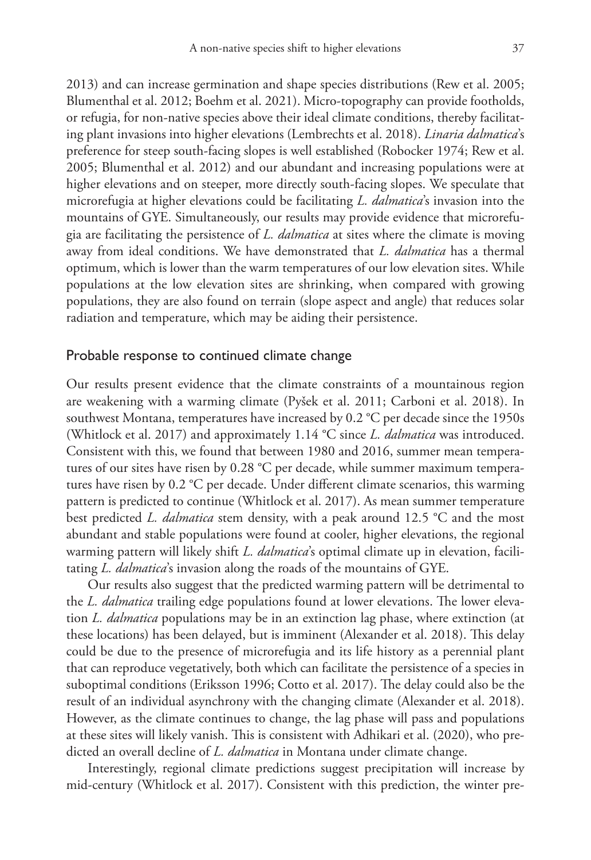2013) and can increase germination and shape species distributions (Rew et al. 2005; Blumenthal et al. 2012; Boehm et al. 2021). Micro-topography can provide footholds, or refugia, for non-native species above their ideal climate conditions, thereby facilitating plant invasions into higher elevations (Lembrechts et al. 2018). *Linaria dalmatica*'s preference for steep south-facing slopes is well established (Robocker 1974; Rew et al. 2005; Blumenthal et al. 2012) and our abundant and increasing populations were at higher elevations and on steeper, more directly south-facing slopes. We speculate that microrefugia at higher elevations could be facilitating *L. dalmatica*'s invasion into the mountains of GYE. Simultaneously, our results may provide evidence that microrefugia are facilitating the persistence of *L. dalmatica* at sites where the climate is moving away from ideal conditions. We have demonstrated that *L. dalmatica* has a thermal optimum, which is lower than the warm temperatures of our low elevation sites. While populations at the low elevation sites are shrinking, when compared with growing populations, they are also found on terrain (slope aspect and angle) that reduces solar radiation and temperature, which may be aiding their persistence.

# Probable response to continued climate change

Our results present evidence that the climate constraints of a mountainous region are weakening with a warming climate (Pyšek et al. 2011; Carboni et al. 2018). In southwest Montana, temperatures have increased by 0.2 °C per decade since the 1950s (Whitlock et al. 2017) and approximately 1.14 °C since *L. dalmatica* was introduced. Consistent with this, we found that between 1980 and 2016, summer mean temperatures of our sites have risen by 0.28 °C per decade, while summer maximum temperatures have risen by 0.2 °C per decade. Under different climate scenarios, this warming pattern is predicted to continue (Whitlock et al. 2017). As mean summer temperature best predicted *L. dalmatica* stem density, with a peak around 12.5 °C and the most abundant and stable populations were found at cooler, higher elevations, the regional warming pattern will likely shift *L. dalmatica*'s optimal climate up in elevation, facilitating *L. dalmatica*'s invasion along the roads of the mountains of GYE.

Our results also suggest that the predicted warming pattern will be detrimental to the *L. dalmatica* trailing edge populations found at lower elevations. The lower elevation *L. dalmatica* populations may be in an extinction lag phase, where extinction (at these locations) has been delayed, but is imminent (Alexander et al. 2018). This delay could be due to the presence of microrefugia and its life history as a perennial plant that can reproduce vegetatively, both which can facilitate the persistence of a species in suboptimal conditions (Eriksson 1996; Cotto et al. 2017). The delay could also be the result of an individual asynchrony with the changing climate (Alexander et al. 2018). However, as the climate continues to change, the lag phase will pass and populations at these sites will likely vanish. This is consistent with Adhikari et al. (2020), who predicted an overall decline of *L. dalmatica* in Montana under climate change.

Interestingly, regional climate predictions suggest precipitation will increase by mid-century (Whitlock et al. 2017). Consistent with this prediction, the winter pre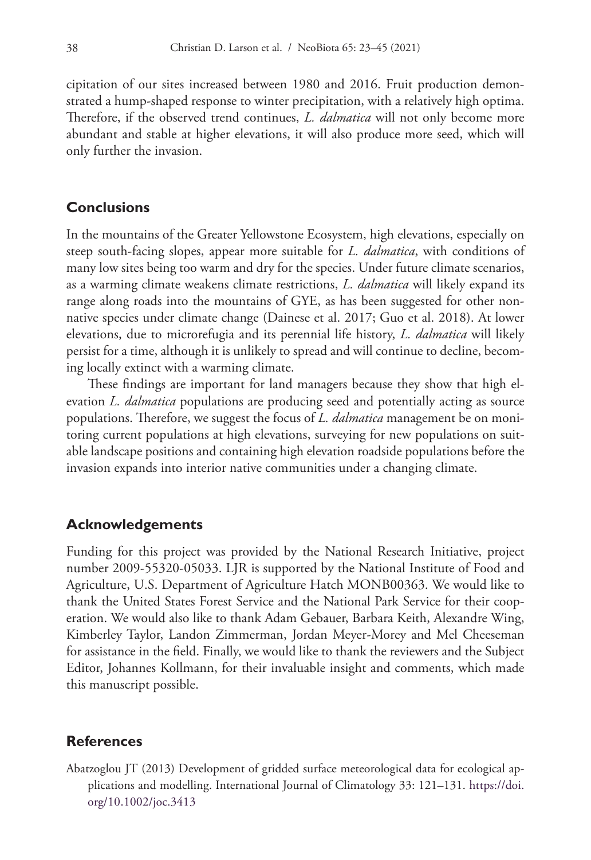cipitation of our sites increased between 1980 and 2016. Fruit production demonstrated a hump-shaped response to winter precipitation, with a relatively high optima. Therefore, if the observed trend continues, *L. dalmatica* will not only become more abundant and stable at higher elevations, it will also produce more seed, which will only further the invasion.

# **Conclusions**

In the mountains of the Greater Yellowstone Ecosystem, high elevations, especially on steep south-facing slopes, appear more suitable for *L. dalmatica*, with conditions of many low sites being too warm and dry for the species. Under future climate scenarios, as a warming climate weakens climate restrictions, *L. dalmatica* will likely expand its range along roads into the mountains of GYE, as has been suggested for other nonnative species under climate change (Dainese et al. 2017; Guo et al. 2018). At lower elevations, due to microrefugia and its perennial life history, *L. dalmatica* will likely persist for a time, although it is unlikely to spread and will continue to decline, becoming locally extinct with a warming climate.

These findings are important for land managers because they show that high elevation *L. dalmatica* populations are producing seed and potentially acting as source populations. Therefore, we suggest the focus of *L. dalmatica* management be on monitoring current populations at high elevations, surveying for new populations on suitable landscape positions and containing high elevation roadside populations before the invasion expands into interior native communities under a changing climate.

# **Acknowledgements**

Funding for this project was provided by the National Research Initiative, project number 2009-55320-05033. LJR is supported by the National Institute of Food and Agriculture, U.S. Department of Agriculture Hatch MONB00363. We would like to thank the United States Forest Service and the National Park Service for their cooperation. We would also like to thank Adam Gebauer, Barbara Keith, Alexandre Wing, Kimberley Taylor, Landon Zimmerman, Jordan Meyer-Morey and Mel Cheeseman for assistance in the field. Finally, we would like to thank the reviewers and the Subject Editor, Johannes Kollmann, for their invaluable insight and comments, which made this manuscript possible.

# **References**

Abatzoglou JT (2013) Development of gridded surface meteorological data for ecological applications and modelling. International Journal of Climatology 33: 121–131. [https://doi.](https://doi.org/10.1002/joc.3413) [org/10.1002/joc.3413](https://doi.org/10.1002/joc.3413)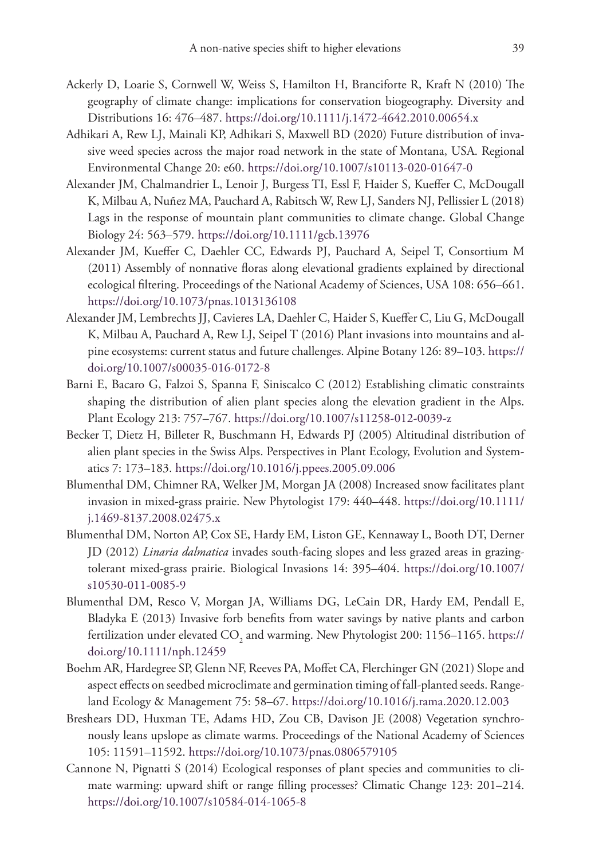- Ackerly D, Loarie S, Cornwell W, Weiss S, Hamilton H, Branciforte R, Kraft N (2010) The geography of climate change: implications for conservation biogeography. Diversity and Distributions 16: 476–487.<https://doi.org/10.1111/j.1472-4642.2010.00654.x>
- Adhikari A, Rew LJ, Mainali KP, Adhikari S, Maxwell BD (2020) Future distribution of invasive weed species across the major road network in the state of Montana, USA. Regional Environmental Change 20: e60.<https://doi.org/10.1007/s10113-020-01647-0>
- Alexander JM, Chalmandrier L, Lenoir J, Burgess TI, Essl F, Haider S, Kueffer C, McDougall K, Milbau A, Nuñez MA, Pauchard A, Rabitsch W, Rew LJ, Sanders NJ, Pellissier L (2018) Lags in the response of mountain plant communities to climate change. Global Change Biology 24: 563–579.<https://doi.org/10.1111/gcb.13976>
- Alexander JM, Kueffer C, Daehler CC, Edwards PJ, Pauchard A, Seipel T, Consortium M (2011) Assembly of nonnative floras along elevational gradients explained by directional ecological filtering. Proceedings of the National Academy of Sciences, USA 108: 656–661. <https://doi.org/10.1073/pnas.1013136108>
- Alexander JM, Lembrechts JJ, Cavieres LA, Daehler C, Haider S, Kueffer C, Liu G, McDougall K, Milbau A, Pauchard A, Rew LJ, Seipel T (2016) Plant invasions into mountains and alpine ecosystems: current status and future challenges. Alpine Botany 126: 89–103. [https://](https://doi.org/10.1007/s00035-016-0172-8) [doi.org/10.1007/s00035-016-0172-8](https://doi.org/10.1007/s00035-016-0172-8)
- Barni E, Bacaro G, Falzoi S, Spanna F, Siniscalco C (2012) Establishing climatic constraints shaping the distribution of alien plant species along the elevation gradient in the Alps. Plant Ecology 213: 757–767. <https://doi.org/10.1007/s11258-012-0039-z>
- Becker T, Dietz H, Billeter R, Buschmann H, Edwards PJ (2005) Altitudinal distribution of alien plant species in the Swiss Alps. Perspectives in Plant Ecology, Evolution and Systematics 7: 173–183. <https://doi.org/10.1016/j.ppees.2005.09.006>
- Blumenthal DM, Chimner RA, Welker JM, Morgan JA (2008) Increased snow facilitates plant invasion in mixed-grass prairie. New Phytologist 179: 440–448. [https://doi.org/10.1111/](https://doi.org/10.1111/j.1469-8137.2008.02475.x) [j.1469-8137.2008.02475.x](https://doi.org/10.1111/j.1469-8137.2008.02475.x)
- Blumenthal DM, Norton AP, Cox SE, Hardy EM, Liston GE, Kennaway L, Booth DT, Derner JD (2012) *Linaria dalmatica* invades south-facing slopes and less grazed areas in grazingtolerant mixed-grass prairie. Biological Invasions 14: 395–404. [https://doi.org/10.1007/](https://doi.org/10.1007/s10530-011-0085-9) [s10530-011-0085-9](https://doi.org/10.1007/s10530-011-0085-9)
- Blumenthal DM, Resco V, Morgan JA, Williams DG, LeCain DR, Hardy EM, Pendall E, Bladyka E (2013) Invasive forb benefits from water savings by native plants and carbon fertilization under elevated  $\mathrm{CO}_2$  and warming. New Phytologist 200: 1156–1165. [https://](https://doi.org/10.1111/nph.12459) [doi.org/10.1111/nph.12459](https://doi.org/10.1111/nph.12459)
- Boehm AR, Hardegree SP, Glenn NF, Reeves PA, Moffet CA, Flerchinger GN (2021) Slope and aspect effects on seedbed microclimate and germination timing of fall-planted seeds. Rangeland Ecology & Management 75: 58–67.<https://doi.org/10.1016/j.rama.2020.12.003>
- Breshears DD, Huxman TE, Adams HD, Zou CB, Davison JE (2008) Vegetation synchronously leans upslope as climate warms. Proceedings of the National Academy of Sciences 105: 11591–11592.<https://doi.org/10.1073/pnas.0806579105>
- Cannone N, Pignatti S (2014) Ecological responses of plant species and communities to climate warming: upward shift or range filling processes? Climatic Change 123: 201–214. <https://doi.org/10.1007/s10584-014-1065-8>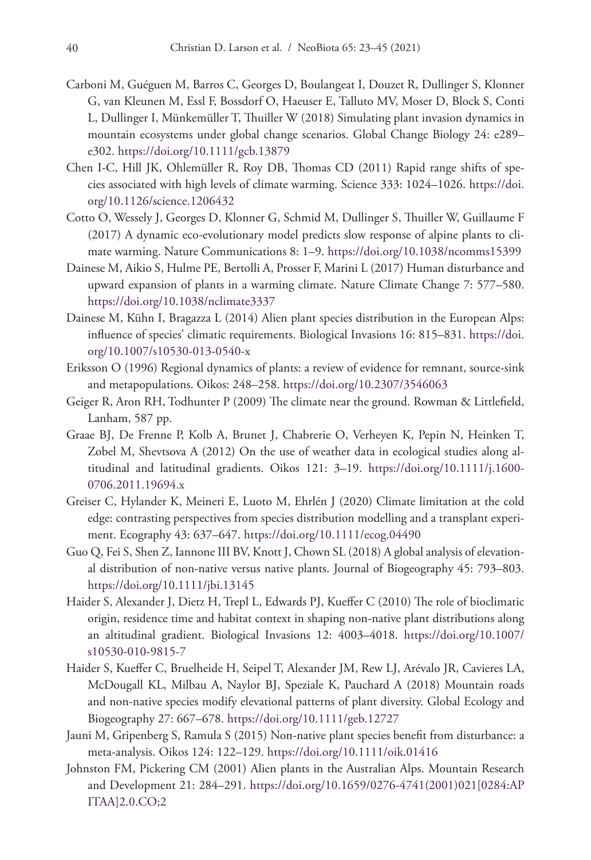- Carboni M, Guéguen M, Barros C, Georges D, Boulangeat I, Douzet R, Dullinger S, Klonner G, van Kleunen M, Essl F, Bossdorf O, Haeuser E, Talluto MV, Moser D, Block S, Conti L, Dullinger I, Münkemüller T, Thuiller W (2018) Simulating plant invasion dynamics in mountain ecosystems under global change scenarios. Global Change Biology 24: e289– e302.<https://doi.org/10.1111/gcb.13879>
- Chen I-C, Hill JK, Ohlemüller R, Roy DB, Thomas CD (2011) Rapid range shifts of species associated with high levels of climate warming. Science 333: 1024–1026. [https://doi.](https://doi.org/10.1126/science.1206432) [org/10.1126/science.1206432](https://doi.org/10.1126/science.1206432)
- Cotto O, Wessely J, Georges D, Klonner G, Schmid M, Dullinger S, Thuiller W, Guillaume F (2017) A dynamic eco-evolutionary model predicts slow response of alpine plants to climate warming. Nature Communications 8: 1–9.<https://doi.org/10.1038/ncomms15399>
- Dainese M, Aikio S, Hulme PE, Bertolli A, Prosser F, Marini L (2017) Human disturbance and upward expansion of plants in a warming climate. Nature Climate Change 7: 577–580. <https://doi.org/10.1038/nclimate3337>
- Dainese M, Kühn I, Bragazza L (2014) Alien plant species distribution in the European Alps: influence of species' climatic requirements. Biological Invasions 16: 815–831. [https://doi.](https://doi.org/10.1007/s10530-013-0540-x) [org/10.1007/s10530-013-0540-x](https://doi.org/10.1007/s10530-013-0540-x)
- Eriksson O (1996) Regional dynamics of plants: a review of evidence for remnant, source-sink and metapopulations. Oikos: 248–258.<https://doi.org/10.2307/3546063>
- Geiger R, Aron RH, Todhunter P (2009) The climate near the ground. Rowman & Littlefield, Lanham, 587 pp.
- Graae BJ, De Frenne P, Kolb A, Brunet J, Chabrerie O, Verheyen K, Pepin N, Heinken T, Zobel M, Shevtsova A (2012) On the use of weather data in ecological studies along altitudinal and latitudinal gradients. Oikos 121: 3–19. [https://doi.org/10.1111/j.1600-](https://doi.org/10.1111/j.1600-0706.2011.19694.x) [0706.2011.19694.x](https://doi.org/10.1111/j.1600-0706.2011.19694.x)
- Greiser C, Hylander K, Meineri E, Luoto M, Ehrlén J (2020) Climate limitation at the cold edge: contrasting perspectives from species distribution modelling and a transplant experiment. Ecography 43: 637–647.<https://doi.org/10.1111/ecog.04490>
- Guo Q, Fei S, Shen Z, Iannone III BV, Knott J, Chown SL (2018) A global analysis of elevational distribution of non-native versus native plants. Journal of Biogeography 45: 793–803. <https://doi.org/10.1111/jbi.13145>
- Haider S, Alexander J, Dietz H, Trepl L, Edwards PJ, Kueffer C (2010) The role of bioclimatic origin, residence time and habitat context in shaping non-native plant distributions along an altitudinal gradient. Biological Invasions 12: 4003–4018. [https://doi.org/10.1007/](https://doi.org/10.1007/s10530-010-9815-7) [s10530-010-9815-7](https://doi.org/10.1007/s10530-010-9815-7)
- Haider S, Kueffer C, Bruelheide H, Seipel T, Alexander JM, Rew LJ, Arévalo JR, Cavieres LA, McDougall KL, Milbau A, Naylor BJ, Speziale K, Pauchard A (2018) Mountain roads and non-native species modify elevational patterns of plant diversity. Global Ecology and Biogeography 27: 667–678.<https://doi.org/10.1111/geb.12727>
- Jauni M, Gripenberg S, Ramula S (2015) Non-native plant species benefit from disturbance: a meta-analysis. Oikos 124: 122–129. <https://doi.org/10.1111/oik.01416>
- Johnston FM, Pickering CM (2001) Alien plants in the Australian Alps. Mountain Research and Development 21: 284–291. [https://doi.org/10.1659/0276-4741\(2001\)021\[0284:AP](https://doi.org/10.1659/0276-4741(2001)021%5B0284:APITAA%5D2.0.CO;2) [ITAA\]2.0.CO;2](https://doi.org/10.1659/0276-4741(2001)021%5B0284:APITAA%5D2.0.CO;2)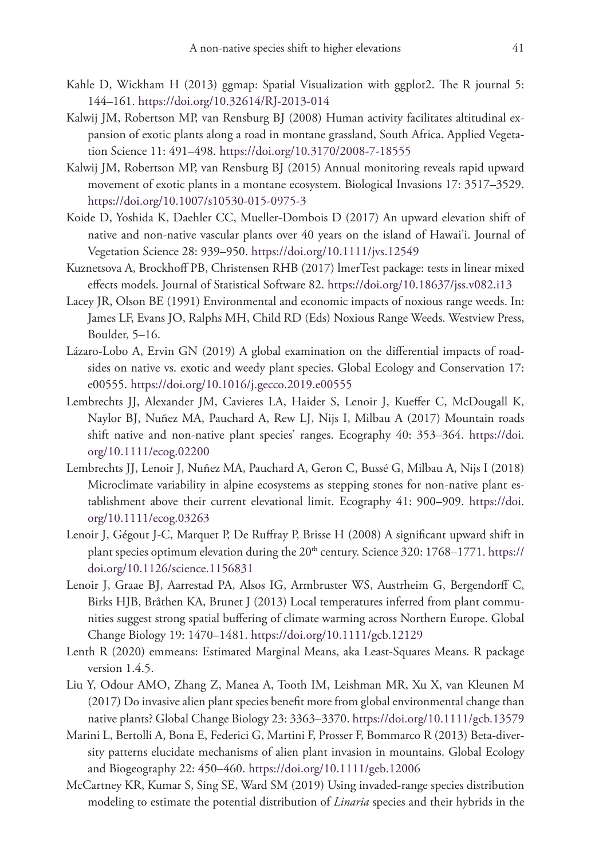- Kahle D, Wickham H (2013) ggmap: Spatial Visualization with ggplot2. The R journal 5: 144–161.<https://doi.org/10.32614/RJ-2013-014>
- Kalwij JM, Robertson MP, van Rensburg BJ (2008) Human activity facilitates altitudinal expansion of exotic plants along a road in montane grassland, South Africa. Applied Vegetation Science 11: 491–498. <https://doi.org/10.3170/2008-7-18555>
- Kalwij JM, Robertson MP, van Rensburg BJ (2015) Annual monitoring reveals rapid upward movement of exotic plants in a montane ecosystem. Biological Invasions 17: 3517–3529. <https://doi.org/10.1007/s10530-015-0975-3>
- Koide D, Yoshida K, Daehler CC, Mueller-Dombois D (2017) An upward elevation shift of native and non-native vascular plants over 40 years on the island of Hawai'i. Journal of Vegetation Science 28: 939–950.<https://doi.org/10.1111/jvs.12549>
- Kuznetsova A, Brockhoff PB, Christensen RHB (2017) lmerTest package: tests in linear mixed effects models. Journal of Statistical Software 82.<https://doi.org/10.18637/jss.v082.i13>
- Lacey JR, Olson BE (1991) Environmental and economic impacts of noxious range weeds. In: James LF, Evans JO, Ralphs MH, Child RD (Eds) Noxious Range Weeds. Westview Press, Boulder, 5–16.
- Lázaro-Lobo A, Ervin GN (2019) A global examination on the differential impacts of roadsides on native vs. exotic and weedy plant species. Global Ecology and Conservation 17: e00555.<https://doi.org/10.1016/j.gecco.2019.e00555>
- Lembrechts JJ, Alexander JM, Cavieres LA, Haider S, Lenoir J, Kueffer C, McDougall K, Naylor BJ, Nuñez MA, Pauchard A, Rew LJ, Nijs I, Milbau A (2017) Mountain roads shift native and non-native plant species' ranges. Ecography 40: 353–364. [https://doi.](https://doi.org/10.1111/ecog.02200) [org/10.1111/ecog.02200](https://doi.org/10.1111/ecog.02200)
- Lembrechts JJ, Lenoir J, Nuñez MA, Pauchard A, Geron C, Bussé G, Milbau A, Nijs I (2018) Microclimate variability in alpine ecosystems as stepping stones for non-native plant establishment above their current elevational limit. Ecography 41: 900–909. [https://doi.](https://doi.org/10.1111/ecog.03263) [org/10.1111/ecog.03263](https://doi.org/10.1111/ecog.03263)
- Lenoir J, Gégout J-C, Marquet P, De Ruffray P, Brisse H (2008) A significant upward shift in plant species optimum elevation during the 20<sup>th</sup> century. Science 320: 1768–1771. [https://](https://doi.org/10.1126/science.1156831) [doi.org/10.1126/science.1156831](https://doi.org/10.1126/science.1156831)
- Lenoir J, Graae BJ, Aarrestad PA, Alsos IG, Armbruster WS, Austrheim G, Bergendorff C, Birks HJB, Bråthen KA, Brunet J (2013) Local temperatures inferred from plant communities suggest strong spatial buffering of climate warming across Northern Europe. Global Change Biology 19: 1470–1481. <https://doi.org/10.1111/gcb.12129>
- Lenth R (2020) emmeans: Estimated Marginal Means, aka Least-Squares Means. R package version 1.4.5.
- Liu Y, Odour AMO, Zhang Z, Manea A, Tooth IM, Leishman MR, Xu X, van Kleunen M (2017) Do invasive alien plant species benefit more from global environmental change than native plants? Global Change Biology 23: 3363–3370.<https://doi.org/10.1111/gcb.13579>
- Marini L, Bertolli A, Bona E, Federici G, Martini F, Prosser F, Bommarco R (2013) Beta-diversity patterns elucidate mechanisms of alien plant invasion in mountains. Global Ecology and Biogeography 22: 450–460. <https://doi.org/10.1111/geb.12006>
- McCartney KR, Kumar S, Sing SE, Ward SM (2019) Using invaded-range species distribution modeling to estimate the potential distribution of *Linaria* species and their hybrids in the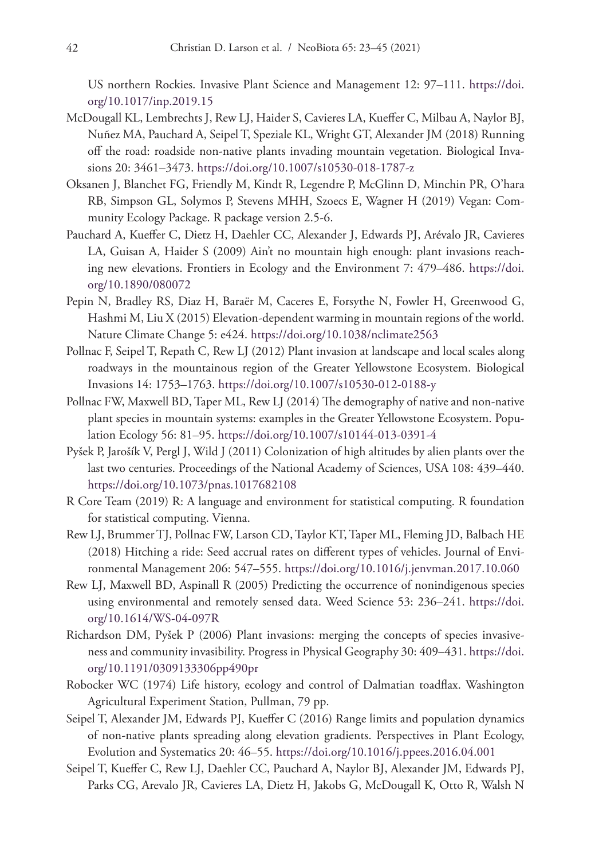US northern Rockies. Invasive Plant Science and Management 12: 97–111. [https://doi.](https://doi.org/10.1017/inp.2019.15) [org/10.1017/inp.2019.15](https://doi.org/10.1017/inp.2019.15)

- McDougall KL, Lembrechts J, Rew LJ, Haider S, Cavieres LA, Kueffer C, Milbau A, Naylor BJ, Nuñez MA, Pauchard A, Seipel T, Speziale KL, Wright GT, Alexander JM (2018) Running off the road: roadside non-native plants invading mountain vegetation. Biological Invasions 20: 3461–3473.<https://doi.org/10.1007/s10530-018-1787-z>
- Oksanen J, Blanchet FG, Friendly M, Kindt R, Legendre P, McGlinn D, Minchin PR, O'hara RB, Simpson GL, Solymos P, Stevens MHH, Szoecs E, Wagner H (2019) Vegan: Community Ecology Package. R package version 2.5-6.
- Pauchard A, Kueffer C, Dietz H, Daehler CC, Alexander J, Edwards PJ, Arévalo JR, Cavieres LA, Guisan A, Haider S (2009) Ain't no mountain high enough: plant invasions reaching new elevations. Frontiers in Ecology and the Environment 7: 479–486. [https://doi.](https://doi.org/10.1890/080072) [org/10.1890/080072](https://doi.org/10.1890/080072)
- Pepin N, Bradley RS, Diaz H, Baraër M, Caceres E, Forsythe N, Fowler H, Greenwood G, Hashmi M, Liu X (2015) Elevation-dependent warming in mountain regions of the world. Nature Climate Change 5: e424. <https://doi.org/10.1038/nclimate2563>
- Pollnac F, Seipel T, Repath C, Rew LJ (2012) Plant invasion at landscape and local scales along roadways in the mountainous region of the Greater Yellowstone Ecosystem. Biological Invasions 14: 1753–1763. <https://doi.org/10.1007/s10530-012-0188-y>
- Pollnac FW, Maxwell BD, Taper ML, Rew LJ (2014) The demography of native and non-native plant species in mountain systems: examples in the Greater Yellowstone Ecosystem. Population Ecology 56: 81–95. <https://doi.org/10.1007/s10144-013-0391-4>
- Pyšek P, Jarošík V, Pergl J, Wild J (2011) Colonization of high altitudes by alien plants over the last two centuries. Proceedings of the National Academy of Sciences, USA 108: 439–440. <https://doi.org/10.1073/pnas.1017682108>
- R Core Team (2019) R: A language and environment for statistical computing. R foundation for statistical computing. Vienna.
- Rew LJ, Brummer TJ, Pollnac FW, Larson CD, Taylor KT, Taper ML, Fleming JD, Balbach HE (2018) Hitching a ride: Seed accrual rates on different types of vehicles. Journal of Environmental Management 206: 547–555.<https://doi.org/10.1016/j.jenvman.2017.10.060>
- Rew LJ, Maxwell BD, Aspinall R (2005) Predicting the occurrence of nonindigenous species using environmental and remotely sensed data. Weed Science 53: 236–241. [https://doi.](https://doi.org/10.1614/WS-04-097R) [org/10.1614/WS-04-097R](https://doi.org/10.1614/WS-04-097R)
- Richardson DM, Pyšek P (2006) Plant invasions: merging the concepts of species invasiveness and community invasibility. Progress in Physical Geography 30: 409–431. [https://doi.](https://doi.org/10.1191/0309133306pp490pr) [org/10.1191/0309133306pp490pr](https://doi.org/10.1191/0309133306pp490pr)
- Robocker WC (1974) Life history, ecology and control of Dalmatian toadflax. Washington Agricultural Experiment Station, Pullman, 79 pp.
- Seipel T, Alexander JM, Edwards PJ, Kueffer C (2016) Range limits and population dynamics of non-native plants spreading along elevation gradients. Perspectives in Plant Ecology, Evolution and Systematics 20: 46–55. <https://doi.org/10.1016/j.ppees.2016.04.001>
- Seipel T, Kueffer C, Rew LJ, Daehler CC, Pauchard A, Naylor BJ, Alexander JM, Edwards PJ, Parks CG, Arevalo JR, Cavieres LA, Dietz H, Jakobs G, McDougall K, Otto R, Walsh N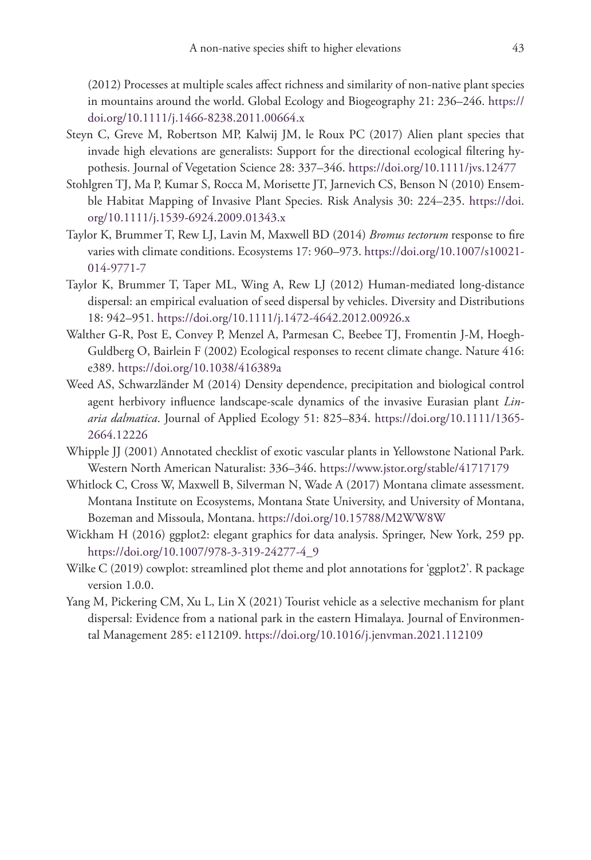(2012) Processes at multiple scales affect richness and similarity of non-native plant species in mountains around the world. Global Ecology and Biogeography 21: 236–246. [https://](https://doi.org/10.1111/j.1466-8238.2011.00664.x) [doi.org/10.1111/j.1466-8238.2011.00664.x](https://doi.org/10.1111/j.1466-8238.2011.00664.x)

- Steyn C, Greve M, Robertson MP, Kalwij JM, le Roux PC (2017) Alien plant species that invade high elevations are generalists: Support for the directional ecological filtering hypothesis. Journal of Vegetation Science 28: 337–346.<https://doi.org/10.1111/jvs.12477>
- Stohlgren TJ, Ma P, Kumar S, Rocca M, Morisette JT, Jarnevich CS, Benson N (2010) Ensemble Habitat Mapping of Invasive Plant Species. Risk Analysis 30: 224–235. [https://doi.](https://doi.org/10.1111/j.1539-6924.2009.01343.x) [org/10.1111/j.1539-6924.2009.01343.x](https://doi.org/10.1111/j.1539-6924.2009.01343.x)
- Taylor K, Brummer T, Rew LJ, Lavin M, Maxwell BD (2014) *Bromus tectorum* response to fire varies with climate conditions. Ecosystems 17: 960–973. [https://doi.org/10.1007/s10021-](https://doi.org/10.1007/s10021-014-9771-7) [014-9771-7](https://doi.org/10.1007/s10021-014-9771-7)
- Taylor K, Brummer T, Taper ML, Wing A, Rew LJ (2012) Human-mediated long-distance dispersal: an empirical evaluation of seed dispersal by vehicles. Diversity and Distributions 18: 942–951.<https://doi.org/10.1111/j.1472-4642.2012.00926.x>
- Walther G-R, Post E, Convey P, Menzel A, Parmesan C, Beebee TJ, Fromentin J-M, Hoegh-Guldberg O, Bairlein F (2002) Ecological responses to recent climate change. Nature 416: e389.<https://doi.org/10.1038/416389a>
- Weed AS, Schwarzländer M (2014) Density dependence, precipitation and biological control agent herbivory influence landscape-scale dynamics of the invasive Eurasian plant *Linaria dalmatica*. Journal of Applied Ecology 51: 825–834. [https://doi.org/10.1111/1365-](https://doi.org/10.1111/1365-2664.12226) [2664.12226](https://doi.org/10.1111/1365-2664.12226)
- Whipple JJ (2001) Annotated checklist of exotic vascular plants in Yellowstone National Park. Western North American Naturalist: 336–346.<https://www.jstor.org/stable/41717179>
- Whitlock C, Cross W, Maxwell B, Silverman N, Wade A (2017) Montana climate assessment. Montana Institute on Ecosystems, Montana State University, and University of Montana, Bozeman and Missoula, Montana.<https://doi.org/10.15788/M2WW8W>
- Wickham H (2016) ggplot2: elegant graphics for data analysis. Springer, New York, 259 pp. [https://doi.org/10.1007/978-3-319-24277-4\\_9](https://doi.org/10.1007/978-3-319-24277-4_9)
- Wilke C (2019) cowplot: streamlined plot theme and plot annotations for 'ggplot2'. R package version 1.0.0.
- Yang M, Pickering CM, Xu L, Lin X (2021) Tourist vehicle as a selective mechanism for plant dispersal: Evidence from a national park in the eastern Himalaya. Journal of Environmental Management 285: e112109. <https://doi.org/10.1016/j.jenvman.2021.112109>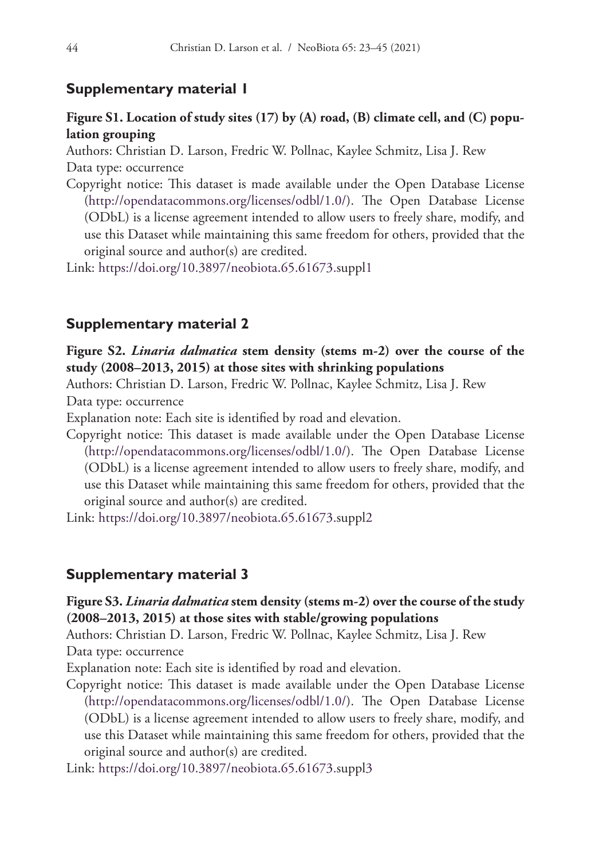# **Supplementary material 1**

# **Figure S1. Location of study sites (17) by (A) road, (B) climate cell, and (C) population grouping**

Authors: Christian D. Larson, Fredric W. Pollnac, Kaylee Schmitz, Lisa J. Rew Data type: occurrence

Copyright notice: This dataset is made available under the Open Database License [\(http://opendatacommons.org/licenses/odbl/1.0/](http://opendatacommons.org/licenses/odbl/1.0/)). The Open Database License (ODbL) is a license agreement intended to allow users to freely share, modify, and use this Dataset while maintaining this same freedom for others, provided that the original source and author(s) are credited.

Link: <https://doi.org/10.3897/neobiota.65.61673.suppl1>

# **Supplementary material 2**

**Figure S2.** *Linaria dalmatica* **stem density (stems m-2) over the course of the study (2008–2013, 2015) at those sites with shrinking populations**

Authors: Christian D. Larson, Fredric W. Pollnac, Kaylee Schmitz, Lisa J. Rew

Data type: occurrence

Explanation note: Each site is identified by road and elevation.

Copyright notice: This dataset is made available under the Open Database License [\(http://opendatacommons.org/licenses/odbl/1.0/](http://opendatacommons.org/licenses/odbl/1.0/)). The Open Database License (ODbL) is a license agreement intended to allow users to freely share, modify, and use this Dataset while maintaining this same freedom for others, provided that the original source and author(s) are credited.

Link: <https://doi.org/10.3897/neobiota.65.61673.suppl2>

# **Supplementary material 3**

# **Figure S3.** *Linaria dalmatica* **stem density (stems m-2) over the course of the study (2008–2013, 2015) at those sites with stable/growing populations**

Authors: Christian D. Larson, Fredric W. Pollnac, Kaylee Schmitz, Lisa J. Rew Data type: occurrence

Explanation note: Each site is identified by road and elevation.

Copyright notice: This dataset is made available under the Open Database License [\(http://opendatacommons.org/licenses/odbl/1.0/](http://opendatacommons.org/licenses/odbl/1.0/)). The Open Database License (ODbL) is a license agreement intended to allow users to freely share, modify, and use this Dataset while maintaining this same freedom for others, provided that the original source and author(s) are credited.

Link: <https://doi.org/10.3897/neobiota.65.61673.suppl3>